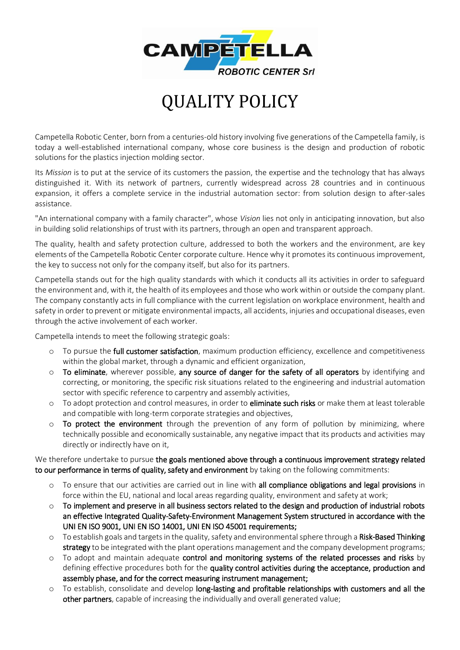

## QUALITY POLICY

Campetella Robotic Center, born from a centuries-old history involving five generations of the Campetella family, is today a well-established international company, whose core business is the design and production of robotic solutions for the plastics injection molding sector.

Its *Mission* is to put at the service of its customers the passion, the expertise and the technology that has always distinguished it. With its network of partners, currently widespread across 28 countries and in continuous expansion, it offers a complete service in the industrial automation sector: from solution design to after-sales assistance.

"An international company with a family character", whose *Vision* lies not only in anticipating innovation, but also in building solid relationships of trust with its partners, through an open and transparent approach.

The quality, health and safety protection culture, addressed to both the workers and the environment, are key elements of the Campetella Robotic Center corporate culture. Hence why it promotes its continuous improvement, the key to success not only for the company itself, but also for its partners.

Campetella stands out for the high quality standards with which it conducts all its activities in order to safeguard the environment and, with it, the health of its employees and those who work within or outside the company plant. The company constantly acts in full compliance with the current legislation on workplace environment, health and safety in order to prevent or mitigate environmental impacts, all accidents, injuries and occupational diseases, even through the active involvement of each worker.

Campetella intends to meet the following strategic goals:

- o To pursue the full customer satisfaction, maximum production efficiency, excellence and competitiveness within the global market, through a dynamic and efficient organization,
- $\circ$  To eliminate, wherever possible, any source of danger for the safety of all operators by identifying and correcting, or monitoring, the specific risk situations related to the engineering and industrial automation sector with specific reference to carpentry and assembly activities,
- $\circ$  To adopt protection and control measures, in order to **eliminate such risks** or make them at least tolerable and compatible with long-term corporate strategies and objectives,
- $\circ$  To protect the environment through the prevention of any form of pollution by minimizing, where technically possible and economically sustainable, any negative impact that its products and activities may directly or indirectly have on it,

We therefore undertake to pursue the goals mentioned above through a continuous improvement strategy related to our performance in terms of quality, safety and environment by taking on the following commitments:

- o To ensure that our activities are carried out in line with all compliance obligations and legal provisions in force within the EU, national and local areas regarding quality, environment and safety at work;
- o To implement and preserve in all business sectors related to the design and production of industrial robots an effective Integrated Quality-Safety-Environment Management System structured in accordance with the UNI EN ISO 9001, UNI EN ISO 14001, UNI EN ISO 45001 requirements;
- $\circ$  To establish goals and targets in the quality, safety and environmental sphere through a Risk-Based Thinking strategy to be integrated with the plant operations management and the company development programs;
- $\circ$  To adopt and maintain adequate control and monitoring systems of the related processes and risks by defining effective procedures both for the quality control activities during the acceptance, production and assembly phase, and for the correct measuring instrument management;
- $\circ$  To establish, consolidate and develop long-lasting and profitable relationships with customers and all the other partners, capable of increasing the individually and overall generated value;